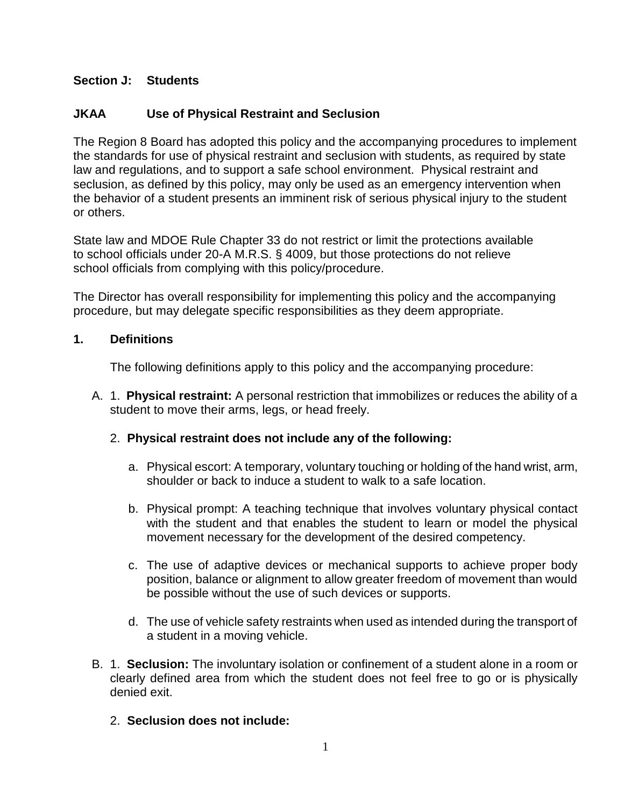## **Section J: Students**

# **JKAA Use of Physical Restraint and Seclusion**

The Region 8 Board has adopted this policy and the accompanying procedures to implement the standards for use of physical restraint and seclusion with students, as required by state law and regulations, and to support a safe school environment. Physical restraint and seclusion, as defined by this policy, may only be used as an emergency intervention when the behavior of a student presents an imminent risk of serious physical injury to the student or others.

State law and MDOE Rule Chapter 33 do not restrict or limit the protections available to school officials under 20-A M.R.S. § 4009, but those protections do not relieve school officials from complying with this policy/procedure.

The Director has overall responsibility for implementing this policy and the accompanying procedure, but may delegate specific responsibilities as they deem appropriate.

## **1. Definitions**

The following definitions apply to this policy and the accompanying procedure:

A. 1. **Physical restraint:** A personal restriction that immobilizes or reduces the ability of a student to move their arms, legs, or head freely.

# 2. **Physical restraint does not include any of the following:**

- a. Physical escort: A temporary, voluntary touching or holding of the hand wrist, arm, shoulder or back to induce a student to walk to a safe location.
- b. Physical prompt: A teaching technique that involves voluntary physical contact with the student and that enables the student to learn or model the physical movement necessary for the development of the desired competency.
- c. The use of adaptive devices or mechanical supports to achieve proper body position, balance or alignment to allow greater freedom of movement than would be possible without the use of such devices or supports.
- d. The use of vehicle safety restraints when used as intended during the transport of a student in a moving vehicle.
- B. 1. **Seclusion:** The involuntary isolation or confinement of a student alone in a room or clearly defined area from which the student does not feel free to go or is physically denied exit.

# 2. **Seclusion does not include:**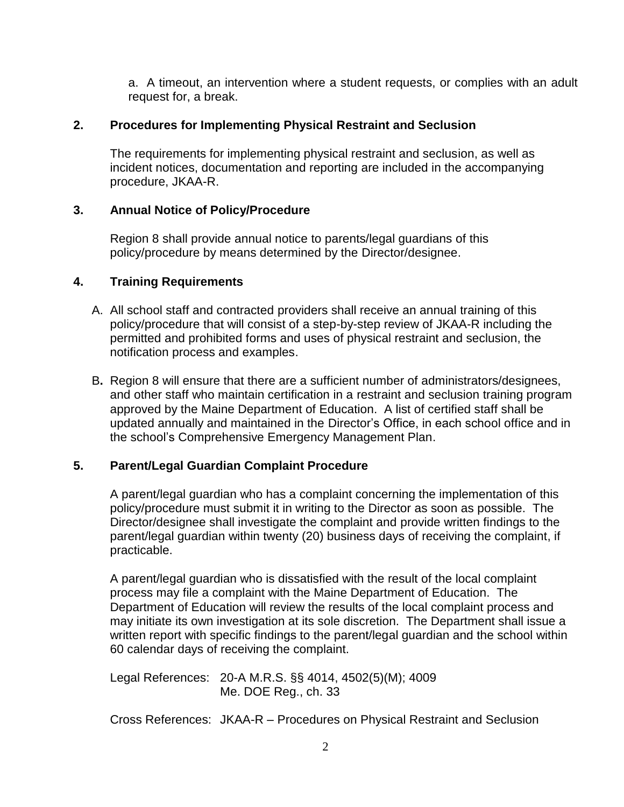a. A timeout, an intervention where a student requests, or complies with an adult request for, a break.

#### **2. Procedures for Implementing Physical Restraint and Seclusion**

The requirements for implementing physical restraint and seclusion, as well as incident notices, documentation and reporting are included in the accompanying procedure, JKAA-R.

### **3. Annual Notice of Policy/Procedure**

Region 8 shall provide annual notice to parents/legal guardians of this policy/procedure by means determined by the Director/designee.

#### **4. Training Requirements**

- A. All school staff and contracted providers shall receive an annual training of this policy/procedure that will consist of a step-by-step review of JKAA-R including the permitted and prohibited forms and uses of physical restraint and seclusion, the notification process and examples.
- B**.** Region 8 will ensure that there are a sufficient number of administrators/designees, and other staff who maintain certification in a restraint and seclusion training program approved by the Maine Department of Education. A list of certified staff shall be updated annually and maintained in the Director's Office, in each school office and in the school's Comprehensive Emergency Management Plan.

### **5. Parent/Legal Guardian Complaint Procedure**

A parent/legal guardian who has a complaint concerning the implementation of this policy/procedure must submit it in writing to the Director as soon as possible. The Director/designee shall investigate the complaint and provide written findings to the parent/legal guardian within twenty (20) business days of receiving the complaint, if practicable.

A parent/legal guardian who is dissatisfied with the result of the local complaint process may file a complaint with the Maine Department of Education. The Department of Education will review the results of the local complaint process and may initiate its own investigation at its sole discretion. The Department shall issue a written report with specific findings to the parent/legal guardian and the school within 60 calendar days of receiving the complaint.

Legal References: 20-A M.R.S. §§ 4014, 4502(5)(M); 4009 Me. DOE Reg., ch. 33

Cross References: JKAA-R – Procedures on Physical Restraint and Seclusion